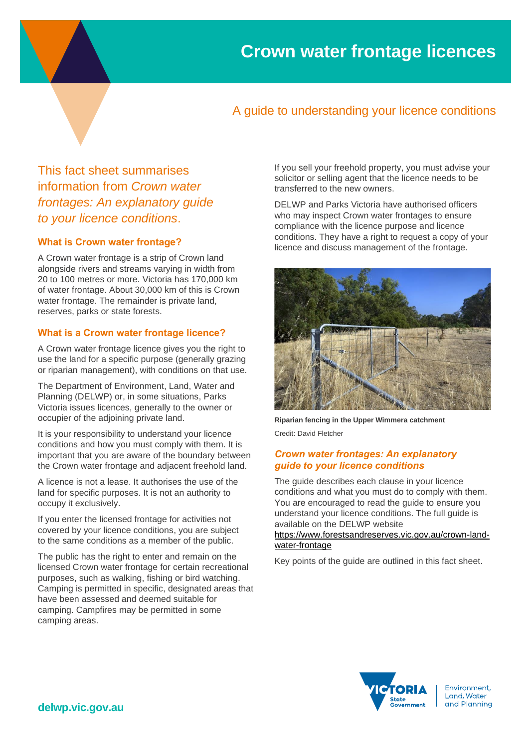## A guide to understanding your licence conditions

This fact sheet summarises information from *Crown water frontages: An explanatory guide to your licence conditions*.

#### **What is Crown water frontage?**

A Crown water frontage is a strip of Crown land alongside rivers and streams varying in width from 20 to 100 metres or more. Victoria has 170,000 km of water frontage. About 30,000 km of this is Crown water frontage. The remainder is private land, reserves, parks or state forests.

### **What is a Crown water frontage licence?**

A Crown water frontage licence gives you the right to use the land for a specific purpose (generally grazing or riparian management), with conditions on that use.

The Department of Environment, Land, Water and Planning (DELWP) or, in some situations, Parks Victoria issues licences, generally to the owner or occupier of the adjoining private land.

It is your responsibility to understand your licence conditions and how you must comply with them. It is important that you are aware of the boundary between the Crown water frontage and adjacent freehold land.

A licence is not a lease. It authorises the use of the land for specific purposes. It is not an authority to occupy it exclusively.

If you enter the licensed frontage for activities not covered by your licence conditions, you are subject to the same conditions as a member of the public.

The public has the right to enter and remain on the licensed Crown water frontage for certain recreational purposes, such as walking, fishing or bird watching. Camping is permitted in specific, designated areas that have been assessed and deemed suitable for camping. Campfires may be permitted in some camping areas.

If you sell your freehold property, you must advise your solicitor or selling agent that the licence needs to be transferred to the new owners.

DELWP and Parks Victoria have authorised officers who may inspect Crown water frontages to ensure compliance with the licence purpose and licence conditions. They have a right to request a copy of your licence and discuss management of the frontage.



**Riparian fencing in the Upper Wimmera catchment** Credit: David Fletcher

#### *Crown water frontages: An explanatory guide to your licence conditions*

The guide describes each clause in your licence conditions and what you must do to comply with them. You are encouraged to read the guide to ensure you understand your licence conditions. The full guide is available on the DELWP website

[https://www.forestsandreserves.vic.gov.au/crown-land](https://www.forestsandreserves.vic.gov.au/crown-land-water-frontage)[water-frontage](https://www.forestsandreserves.vic.gov.au/crown-land-water-frontage)

Key points of the guide are outlined in this fact sheet.



Environment, Land, Water and Planning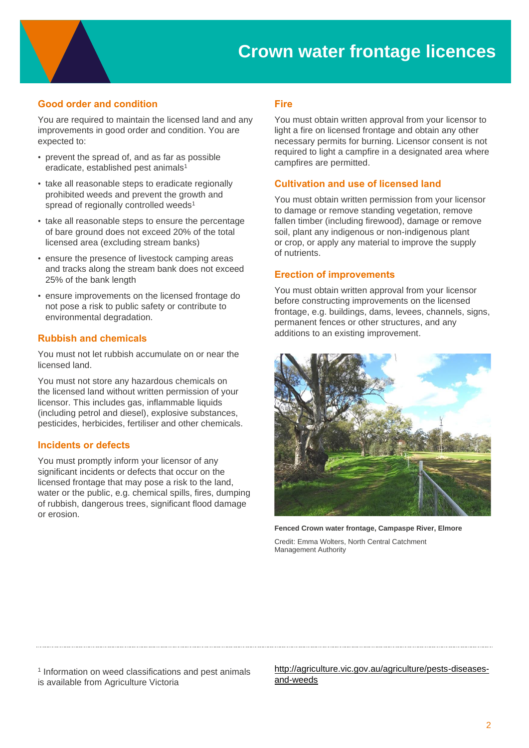# **Crown water frontage licences**

### **Good order and condition**

You are required to maintain the licensed land and any improvements in good order and condition. You are expected to:

- prevent the spread of, and as far as possible eradicate, established pest animals<sup>1</sup>
- take all reasonable steps to eradicate regionally prohibited weeds and prevent the growth and spread of regionally controlled weeds<sup>1</sup>
- take all reasonable steps to ensure the percentage of bare ground does not exceed 20% of the total licensed area (excluding stream banks)
- ensure the presence of livestock camping areas and tracks along the stream bank does not exceed 25% of the bank length
- ensure improvements on the licensed frontage do not pose a risk to public safety or contribute to environmental degradation.

#### **Rubbish and chemicals**

You must not let rubbish accumulate on or near the licensed land.

You must not store any hazardous chemicals on the licensed land without written permission of your licensor. This includes gas, inflammable liquids (including petrol and diesel), explosive substances, pesticides, herbicides, fertiliser and other chemicals.

#### **Incidents or defects**

You must promptly inform your licensor of any significant incidents or defects that occur on the licensed frontage that may pose a risk to the land, water or the public, e.g. chemical spills, fires, dumping of rubbish, dangerous trees, significant flood damage or erosion.

#### **Fire**

You must obtain written approval from your licensor to light a fire on licensed frontage and obtain any other necessary permits for burning. Licensor consent is not required to light a campfire in a designated area where campfires are permitted.

#### **Cultivation and use of licensed land**

You must obtain written permission from your licensor to damage or remove standing vegetation, remove fallen timber (including firewood), damage or remove soil, plant any indigenous or non-indigenous plant or crop, or apply any material to improve the supply of nutrients.

#### **Erection of improvements**

You must obtain written approval from your licensor before constructing improvements on the licensed frontage, e.g. buildings, dams, levees, channels, signs, permanent fences or other structures, and any additions to an existing improvement.



**Fenced Crown water frontage, Campaspe River, Elmore**

Credit: Emma Wolters, North Central Catchment Management Authority

<sup>1</sup> Information on weed classifications and pest animals is available from Agriculture Victoria

[http://agriculture.vic.gov.au/agriculture/pests-diseases](http://agriculture.vic.gov.au/agriculture/pests-diseases-and-weeds)[and-weeds](http://agriculture.vic.gov.au/agriculture/pests-diseases-and-weeds)